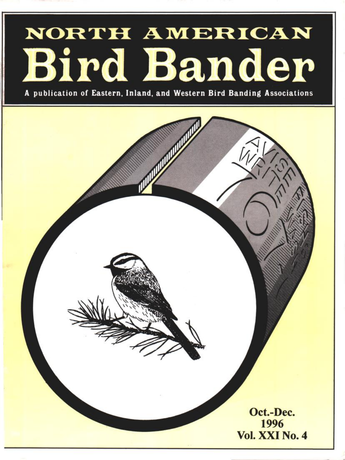# NORTH AMERICAN Bird Bander

**A publication of Eastern, Inland, and Western Bird Banding Associations** 

**Oct.-Dec. 1996 Vol. XXI No. 4**